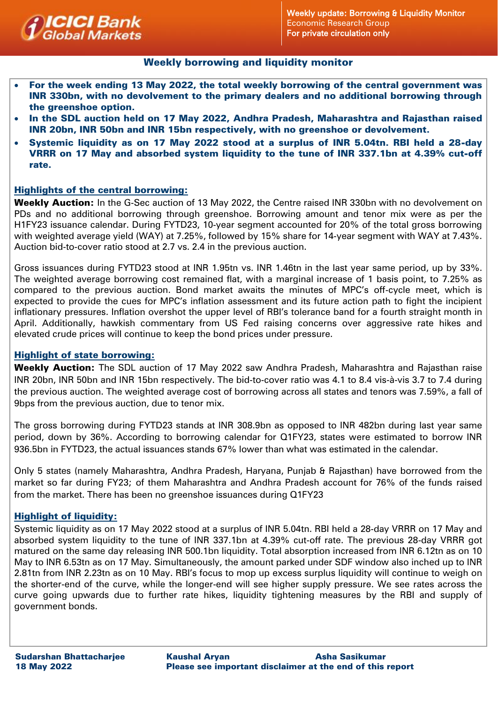

## Weekly borrowing and liquidity monitor

- For the week ending 13 May 2022, the total weekly borrowing of the central government was INR 330bn, with no devolvement to the primary dealers and no additional borrowing through the greenshoe option.
- In the SDL auction held on 17 May 2022, Andhra Pradesh, Maharashtra and Rajasthan raised INR 20bn, INR 50bn and INR 15bn respectively, with no greenshoe or devolvement.
- Systemic liquidity as on 17 May 2022 stood at a surplus of INR 5.04tn. RBI held a 28-day VRRR on 17 May and absorbed system liquidity to the tune of INR 337.1bn at 4.39% cut-off rate.

## Highlights of the central borrowing:

Weekly Auction: In the G-Sec auction of 13 May 2022, the Centre raised INR 330bn with no devolvement on PDs and no additional borrowing through greenshoe. Borrowing amount and tenor mix were as per the H1FY23 issuance calendar. During FYTD23, 10-year segment accounted for 20% of the total gross borrowing with weighted average yield (WAY) at 7.25%, followed by 15% share for 14-year segment with WAY at 7.43%. Auction bid-to-cover ratio stood at 2.7 vs. 2.4 in the previous auction.

Gross issuances during FYTD23 stood at INR 1.95tn vs. INR 1.46tn in the last year same period, up by 33%. The weighted average borrowing cost remained flat, with a marginal increase of 1 basis point, to 7.25% as compared to the previous auction. Bond market awaits the minutes of MPC's off-cycle meet, which is expected to provide the cues for MPC's inflation assessment and its future action path to fight the incipient inflationary pressures. Inflation overshot the upper level of RBI's tolerance band for a fourth straight month in April. Additionally, hawkish commentary from US Fed raising concerns over aggressive rate hikes and elevated crude prices will continue to keep the bond prices under pressure.

## Highlight of state borrowing:

Weekly Auction: The SDL auction of 17 May 2022 saw Andhra Pradesh, Maharashtra and Rajasthan raise INR 20bn, INR 50bn and INR 15bn respectively. The bid-to-cover ratio was 4.1 to 8.4 vis-à-vis 3.7 to 7.4 during the previous auction. The weighted average cost of borrowing across all states and tenors was 7.59%, a fall of 9bps from the previous auction, due to tenor mix.

The gross borrowing during FYTD23 stands at INR 308.9bn as opposed to INR 482bn during last year same period, down by 36%. According to borrowing calendar for Q1FY23, states were estimated to borrow INR 936.5bn in FYTD23, the actual issuances stands 67% lower than what was estimated in the calendar.

Only 5 states (namely Maharashtra, Andhra Pradesh, Haryana, Punjab & Rajasthan) have borrowed from the market so far during FY23; of them Maharashtra and Andhra Pradesh account for 76% of the funds raised from the market. There has been no greenshoe issuances during Q1FY23

## Highlight of liquidity:

Systemic liquidity as on 17 May 2022 stood at a surplus of INR 5.04tn. RBI held a 28-day VRRR on 17 May and absorbed system liquidity to the tune of INR 337.1bn at 4.39% cut-off rate. The previous 28-day VRRR got matured on the same day releasing INR 500.1bn liquidity. Total absorption increased from INR 6.12tn as on 10 May to INR 6.53tn as on 17 May. Simultaneously, the amount parked under SDF window also inched up to INR 2.81tn from INR 2.23tn as on 10 May. RBI's focus to mop up excess surplus liquidity will continue to weigh on the shorter-end of the curve, while the longer-end will see higher supply pressure. We see rates across the curve going upwards due to further rate hikes, liquidity tightening measures by the RBI and supply of government bonds.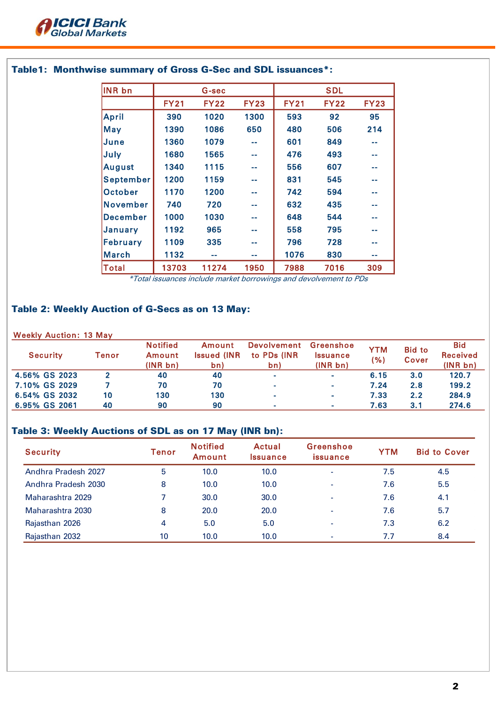

| <b>INR bn</b>    |             | G-sec       |              | <b>SDL</b>  |             |              |
|------------------|-------------|-------------|--------------|-------------|-------------|--------------|
|                  | <b>FY21</b> | <b>FY22</b> | <b>FY23</b>  | <b>FY21</b> | <b>FY22</b> | <b>FY23</b>  |
| <b>April</b>     | 390         | 1020        | 1300         | 593         | 92          | 95           |
| <b>May</b>       | 1390        | 1086        | 650          | 480         | 506         | 214          |
| June             | 1360        | 1079        | an an        | 601         | 849         |              |
| July             | 1680        | 1565        | an an        | 476         | 493         | m mi         |
| <b>August</b>    | 1340        | 1115        | <b>COLOR</b> | 556         | 607         | <b>COLOR</b> |
| <b>September</b> | 1200        | 1159        | a a          | 831         | 545         |              |
| <b>October</b>   | 1170        | 1200        |              | 742         | 594         |              |
| <b>November</b>  | 740         | 720         | an an        | 632         | 435         |              |
| December         | 1000        | 1030        | a a          | 648         | 544         | an an        |
| January          | 1192        | 965         | <b>COLOR</b> | 558         | 795         | <b>COLOR</b> |
| February         | 1109        | 335         | --           | 796         | 728         | an an        |
| <b>March</b>     | 1132        | --          | m m          | 1076        | 830         | - -          |
| Total            | 13703       | 11274       | 1950         | 7988        | 7016        | 309          |

# Table1: Monthwise summary of Gross G-Sec and SDL issuances\*:

\*Total issuances include market borrowings and devolvement to PDs

# Table 2: Weekly Auction of G-Secs as on 13 May:

### Weekly Auction: 13 May

| <b>Security</b> | Tenor | <b>Notified</b><br>Amount<br>(INR <sub>bn</sub> ) | Amount<br><b>Issued (INR)</b><br>bn) | <b>Devolvement</b><br>to PDs (INR)<br>bn) | Greenshoe<br><i><u><b>Issuance</b></u></i><br>(INR bn) | <b>YTM</b><br>( %) | <b>Bid to</b><br>Cover | <b>Bid</b><br><b>Received</b><br>(INR bn) |
|-----------------|-------|---------------------------------------------------|--------------------------------------|-------------------------------------------|--------------------------------------------------------|--------------------|------------------------|-------------------------------------------|
| 4.56% GS 2023   |       | 40                                                | 40                                   | $\sim$                                    | $\sim$                                                 | 6.15               | 3.0                    | 120.7                                     |
| 7.10% GS 2029   |       | 70                                                | 70                                   | $\sim$                                    | $\sim$                                                 | 7.24               | 2.8                    | 199.2                                     |
| 6.54% GS 2032   | 10    | 130                                               | 130                                  | <b>COL</b>                                | $\bar{a}$                                              | 7.33               | 2.2                    | 284.9                                     |
| 6.95% GS 2061   | 40    | 90                                                | 90                                   | <b>COL</b>                                | $\sim$                                                 | 7.63               | 3.1                    | 274.6                                     |

## Table 3: Weekly Auctions of SDL as on 17 May (INR bn):

| <b>Security</b>     | Tenor | <b>Notified</b><br><b>Amount</b> | Actual<br><i><u><b>Issuance</b></u></i> | Greenshoe<br>issuance    | <b>YTM</b> | <b>Bid to Cover</b> |
|---------------------|-------|----------------------------------|-----------------------------------------|--------------------------|------------|---------------------|
| Andhra Pradesh 2027 | 5     | 10.0                             | 10.0                                    | $\overline{\phantom{0}}$ | 7.5        | 4.5                 |
| Andhra Pradesh 2030 | 8     | 10.0                             | 10.0                                    | $\overline{\phantom{0}}$ | 7.6        | 5.5                 |
| Maharashtra 2029    |       | 30.0                             | 30.0                                    | $\overline{\phantom{0}}$ | 7.6        | 4.1                 |
| Maharashtra 2030    | 8     | 20.0                             | 20.0                                    | $\overline{\phantom{0}}$ | 7.6        | 5.7                 |
| Rajasthan 2026      | 4     | 5.0                              | 5.0                                     | $\overline{\phantom{0}}$ | 7.3        | 6.2                 |
| Rajasthan 2032      | 10    | 10.0                             | 10.0                                    |                          | 7.7        | 8.4                 |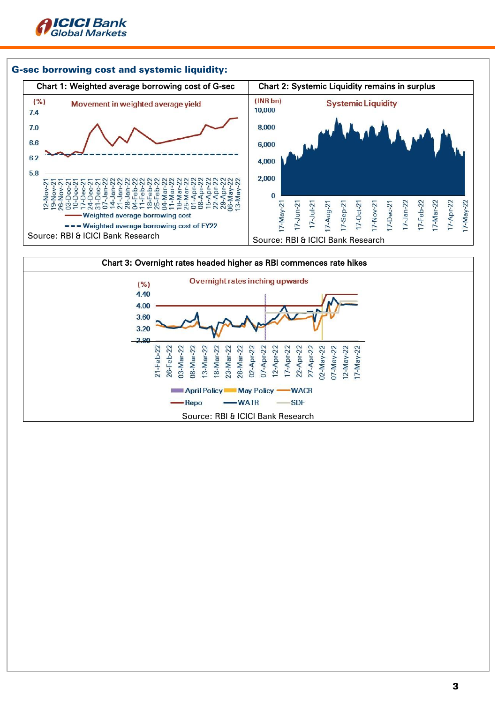



Source: RBI & ICICI Bank Research

-WATR

28-Mar-22 02-Apr-22 07-Apr-22

April Policy May Policy

-Repo

21-Feb-22 26-Feb-22 03-Mar-22 08-Mar-22 13-Mar-22 8-Mar-22 23-Mar-22 17-Apr-22 22-Apr-22 27-Apr-22

**WACR SDF** 

 $D2$ -May-22

 $J$ -May-22 12-May-22 17-May-22

12-Apr-22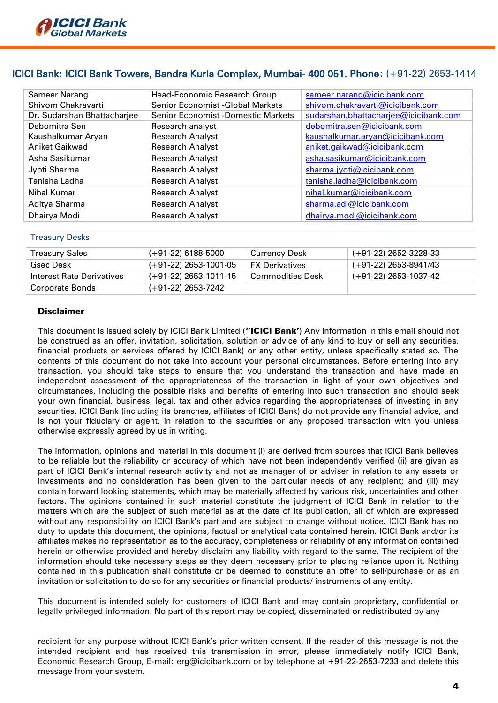

## ICICI Bank: ICICI Bank Towers, Bandra Kurla Complex, Mumbai- 400 051. Phone: (+91-22) 2653-1414

| Sameer Narang               | Head-Economic Research Group              | sameer.narang@icicibank.com           |  |  |
|-----------------------------|-------------------------------------------|---------------------------------------|--|--|
| Shivom Chakravarti          | <b>Senior Economist -Global Markets</b>   | shivom.chakravarti@icicibank.com      |  |  |
| Dr. Sudarshan Bhattacharjee | <b>Senior Economist -Domestic Markets</b> | sudarshan.bhattacharjee@icicibank.com |  |  |
| Debomitra Sen               | Research analyst                          | debomitra.sen@icicibank.com           |  |  |
| Kaushalkumar Aryan          | <b>Research Analyst</b>                   | kaushalkumar.aryan@icicibank.com      |  |  |
| Aniket Gaikwad              | <b>Research Analyst</b>                   | aniket.gaikwad@icicibank.com          |  |  |
| Asha Sasikumar              | <b>Research Analyst</b>                   | asha.sasikumar@icicibank.com          |  |  |
| Jyoti Sharma                | <b>Research Analyst</b>                   | sharma.jyoti@icicibank.com            |  |  |
| Tanisha Ladha               | <b>Research Analyst</b>                   | tanisha.ladha@icicibank.com           |  |  |
| Nihal Kumar                 | <b>Research Analyst</b>                   | nihal.kumar@icicibank.com             |  |  |
| Aditya Sharma               | <b>Research Analyst</b>                   | sharma.adi@icicibank.com              |  |  |
| Dhairya Modi                | <b>Research Analyst</b>                   | dhairya.modi@icicibank.com            |  |  |

#### Treasury Desks

| <b>Treasury Sales</b>     | (+91-22) 6188-5000    | <b>Currency Desk</b>  | (+91-22) 2652-3228-33 |
|---------------------------|-----------------------|-----------------------|-----------------------|
| Gsec Desk                 | (+91-22) 2653-1001-05 | <b>FX Derivatives</b> | (+91-22) 2653-8941/43 |
| Interest Rate Derivatives | (+91-22) 2653-1011-15 | Commodities Desk      | (+91-22) 2653-1037-42 |
| Corporate Bonds           | (+91-22) 2653-7242    |                       |                       |

### Disclaimer

This document is issued solely by ICICI Bank Limited ("ICICI Bank') Any information in this email should not be construed as an offer, invitation, solicitation, solution or advice of any kind to buy or sell any securities, financial products or services offered by ICICI Bank) or any other entity, unless specifically stated so. The contents of this document do not take into account your personal circumstances. Before entering into any transaction, you should take steps to ensure that you understand the transaction and have made an independent assessment of the appropriateness of the transaction in light of your own objectives and circumstances, including the possible risks and benefits of entering into such transaction and should seek your own financial, business, legal, tax and other advice regarding the appropriateness of investing in any securities. ICICI Bank (including its branches, affiliates of ICICI Bank) do not provide any financial advice, and is not your fiduciary or agent, in relation to the securities or any proposed transaction with you unless otherwise expressly agreed by us in writing.

The information, opinions and material in this document (i) are derived from sources that ICICI Bank believes to be reliable but the reliability or accuracy of which have not been independently verified (ii) are given as part of ICICI Bank's internal research activity and not as manager of or adviser in relation to any assets or investments and no consideration has been given to the particular needs of any recipient; and (iii) may contain forward looking statements, which may be materially affected by various risk, uncertainties and other factors. The opinions contained in such material constitute the judgment of ICICI Bank in relation to the matters which are the subject of such material as at the date of its publication, all of which are expressed without any responsibility on ICICI Bank's part and are subject to change without notice. ICICI Bank has no duty to update this document, the opinions, factual or analytical data contained herein. ICICI Bank and/or its affiliates makes no representation as to the accuracy, completeness or reliability of any information contained herein or otherwise provided and hereby disclaim any liability with regard to the same. The recipient of the information should take necessary steps as they deem necessary prior to placing reliance upon it. Nothing contained in this publication shall constitute or be deemed to constitute an offer to sell/purchase or as an invitation or solicitation to do so for any securities or financial products/ instruments of any entity.

This document is intended solely for customers of ICICI Bank and may contain proprietary, confidential or legally privileged information. No part of this report may be copied, disseminated or redistributed by any

recipient for any purpose without ICICI Bank's prior written consent. If the reader of this message is not the intended recipient and has received this transmission in error, please immediately notify ICICI Bank, Economic Research Group, E-mail: erg@icicibank.com or by telephone at +91-22-2653-7233 and delete this message from your system.